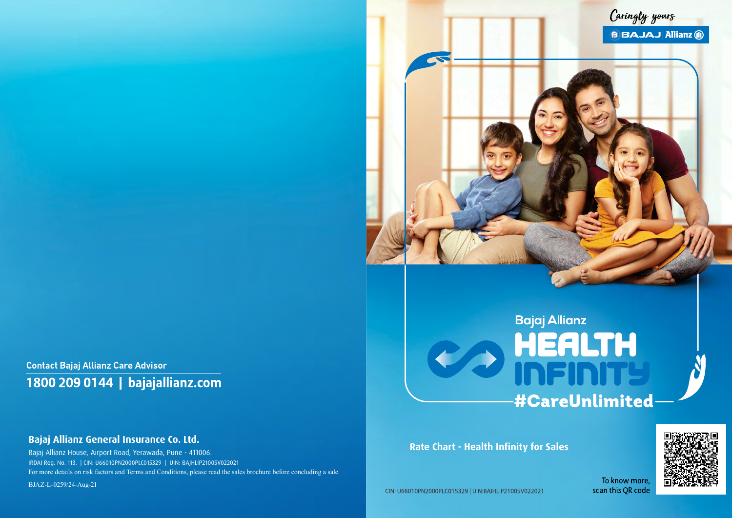**Contact Bajaj Allianz Care Advisor** 1800 209 0144 | bajajallianz.com

## **Bajaj Allianz General Insurance Co. Ltd.**

Bajaj Allianz House, Airport Road, Yerawada, Pune - 411006. IRDAI Reg. No. 113. | CIN: U66010PN2000PLC015329 | UIN: BAJHLIP21005V022021 For more details on risk factors and Terms and Conditions, please read the sales brochure before concluding a sale. BJAZ-L-0259/24-Aug-21

**Rate Chart - Health Infinity for Sales** 

CIN: U66010PN2000PLC015329 | UIN:BAJHLIP21005V022021



# **Bajaj Allianz** HEALTH<br>INFINITY **#CareUnlimited**

To know more, scan this QR code